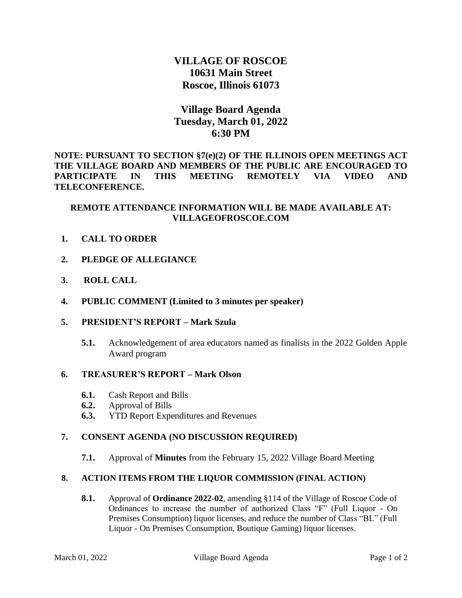# **VILLAGE OF ROSCOE 10631 Main Street Roscoe, Illinois 61073**

# **Village Board Agenda Tuesday, March 01, 2022 6:30 PM**

**NOTE: PURSUANT TO SECTION §7(e)(2) OF THE ILLINOIS OPEN MEETINGS ACT THE VILLAGE BOARD AND MEMBERS OF THE PUBLIC ARE ENCOURAGED TO PARTICIPATE IN THIS MEETING REMOTELY VIA VIDEO AND TELECONFERENCE.** 

## **REMOTE ATTENDANCE INFORMATION WILL BE MADE AVAILABLE AT: VILLAGEOFROSCOE.COM**

- **1. CALL TO ORDER**
- **2. PLEDGE OF ALLEGIANCE**
- **3. ROLL CALL**
- **4. PUBLIC COMMENT (Limited to 3 minutes per speaker)**
- **5. PRESIDENT'S REPORT – Mark Szula**
	- **5.1.** Acknowledgement of area educators named as finalists in the 2022 Golden Apple Award program

### **6. TREASURER'S REPORT – Mark Olson**

- **6.1.** Cash Report and Bills
- **6.2.** Approval of Bills
- **6.3.** YTD Report Expenditures and Revenues

#### **7. CONSENT AGENDA (NO DISCUSSION REQUIRED)**

**7.1.** Approval of **Minutes** from the February 15, 2022 Village Board Meeting

## **8. ACTION ITEMS FROM THE LIQUOR COMMISSION (FINAL ACTION)**

**8.1.** Approval of **Ordinance 2022-02**, amending §114 of the Village of Roscoe Code of Ordinances to increase the number of authorized Class "F" (Full Liquor - On Premises Consumption) liquor licenses, and reduce the number of Class "BL" (Full Liquor - On Premises Consumption, Boutique Gaming) liquor licenses.